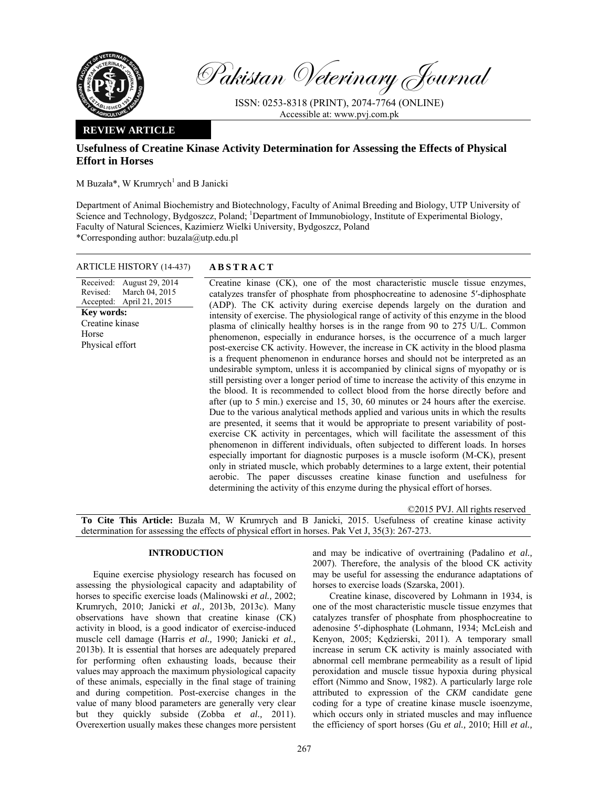

Pakistan Veterinary Journal

ISSN: 0253-8318 (PRINT), 2074-7764 (ONLINE) Accessible at: www.pvj.com.pk

## **REVIEW ARTICLE**

# **Usefulness of Creatine Kinase Activity Determination for Assessing the Effects of Physical Effort in Horses**

M Buzała\*, W Krumrych<sup>1</sup> and B Janicki

Department of Animal Biochemistry and Biotechnology, Faculty of Animal Breeding and Biology, UTP University of Science and Technology, Bydgoszcz, Poland; <sup>1</sup>Department of Immunobiology, Institute of Experimental Biology, Faculty of Natural Sciences, Kazimierz Wielki University, Bydgoszcz, Poland \*Corresponding author: buzala@utp.edu.pl

### ARTICLE HISTORY (14-437) **ABSTRACT**

Received: August 29, 2014 Revised: Accepted: March 04, 2015 April 21, 2015 **Key words:**  Creatine kinase Horse Physical effort

 Creatine kinase (CK), one of the most characteristic muscle tissue enzymes, catalyzes transfer of phosphate from phosphocreatine to adenosine 5′-diphosphate (ADP). The CK activity during exercise depends largely on the duration and intensity of exercise. The physiological range of activity of this enzyme in the blood plasma of clinically healthy horses is in the range from 90 to 275 U/L. Common phenomenon, especially in endurance horses, is the occurrence of a much larger post-exercise CK activity. However, the increase in CK activity in the blood plasma is a frequent phenomenon in endurance horses and should not be interpreted as an undesirable symptom, unless it is accompanied by clinical signs of myopathy or is still persisting over a longer period of time to increase the activity of this enzyme in the blood. It is recommended to collect blood from the horse directly before and after (up to 5 min.) exercise and 15, 30, 60 minutes or 24 hours after the exercise. Due to the various analytical methods applied and various units in which the results are presented, it seems that it would be appropriate to present variability of postexercise CK activity in percentages, which will facilitate the assessment of this phenomenon in different individuals, often subjected to different loads. In horses especially important for diagnostic purposes is a muscle isoform (M-CK), present only in striated muscle, which probably determines to a large extent, their potential aerobic. The paper discusses creatine kinase function and usefulness for determining the activity of this enzyme during the physical effort of horses.

©2015 PVJ. All rights reserved **To Cite This Article:** Buzała M, W Krumrych and B Janicki, 2015. Usefulness of creatine kinase activity determination for assessing the effects of physical effort in horses. Pak Vet J, 35(3): 267-273.

## **INTRODUCTION**

Equine exercise physiology research has focused on assessing the physiological capacity and adaptability of horses to specific exercise loads (Malinowski *et al.,* 2002; Krumrych, 2010; Janicki *et al.,* 2013b, 2013c). Many observations have shown that creatine kinase (CK) activity in blood, is a good indicator of exercise-induced muscle cell damage (Harris *et al.,* 1990; Janicki *et al.,*  2013b). It is essential that horses are adequately prepared for performing often exhausting loads, because their values may approach the maximum physiological capacity of these animals, especially in the final stage of training and during competition. Post-exercise changes in the value of many blood parameters are generally very clear but they quickly subside (Zobba *et al.,* 2011). Overexertion usually makes these changes more persistent and may be indicative of overtraining (Padalino *et al.,*  2007). Therefore, the analysis of the blood CK activity may be useful for assessing the endurance adaptations of horses to exercise loads (Szarska, 2001).

Creatine kinase, discovered by Lohmann in 1934, is one of the most characteristic muscle tissue enzymes that catalyzes transfer of phosphate from phosphocreatine to adenosine 5′-diphosphate (Lohmann, 1934; McLeish and Kenyon, 2005; Kędzierski, 2011). A temporary small increase in serum CK activity is mainly associated with abnormal cell membrane permeability as a result of lipid peroxidation and muscle tissue hypoxia during physical effort (Nimmo and Snow, 1982). A particularly large role attributed to expression of the *CKM* candidate gene coding for a type of creatine kinase muscle isoenzyme, which occurs only in striated muscles and may influence the efficiency of sport horses (Gu *et al.,* 2010; Hill *et al.,*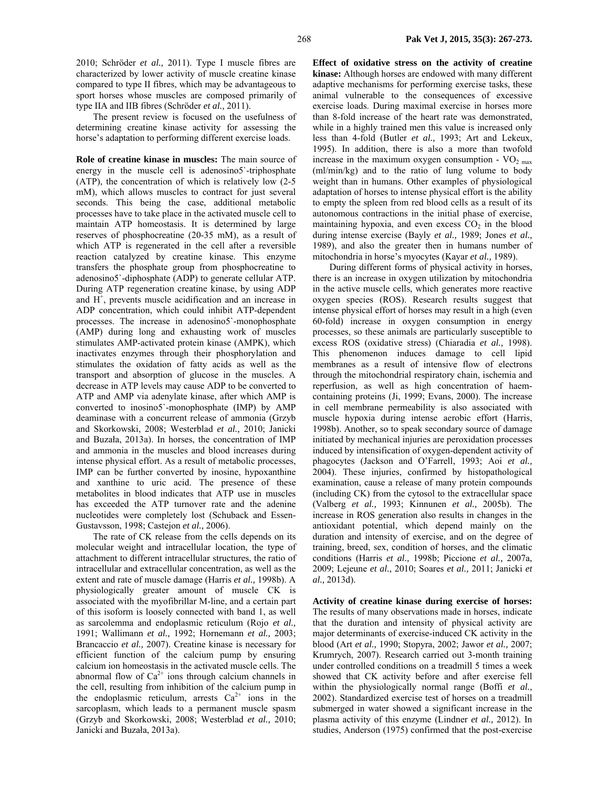2010; Schröder *et al.,* 2011). Type I muscle fibres are characterized by lower activity of muscle creatine kinase compared to type II fibres, which may be advantageous to sport horses whose muscles are composed primarily of type IIA and IIB fibres (Schröder *et al.,* 2011).

The present review is focused on the usefulness of determining creatine kinase activity for assessing the horse's adaptation to performing different exercise loads.

**Role of creatine kinase in muscles:** The main source of energy in the muscle cell is adenosino5`-triphosphate (ATP), the concentration of which is relatively low (2-5 mM), which allows muscles to contract for just several seconds. This being the case, additional metabolic processes have to take place in the activated muscle cell to maintain ATP homeostasis. It is determined by large reserves of phosphocreatine (20-35 mM), as a result of which ATP is regenerated in the cell after a reversible reaction catalyzed by creatine kinase. This enzyme transfers the phosphate group from phosphocreatine to adenosino5`-diphosphate (ADP) to generate cellular ATP. During ATP regeneration creatine kinase, by using ADP and  $H<sup>+</sup>$ , prevents muscle acidification and an increase in ADP concentration, which could inhibit ATP-dependent processes. The increase in adenosino5`-monophosphate (AMP) during long and exhausting work of muscles stimulates AMP-activated protein kinase (AMPK), which inactivates enzymes through their phosphorylation and stimulates the oxidation of fatty acids as well as the transport and absorption of glucose in the muscles. A decrease in ATP levels may cause ADP to be converted to ATP and AMP via adenylate kinase, after which AMP is converted to inosino5`-monophosphate (IMP) by AMP deaminase with a concurrent release of ammonia (Grzyb and Skorkowski, 2008; Westerblad *et al.,* 2010; Janicki and Buzała, 2013a). In horses, the concentration of IMP and ammonia in the muscles and blood increases during intense physical effort. As a result of metabolic processes, IMP can be further converted by inosine, hypoxanthine and xanthine to uric acid. The presence of these metabolites in blood indicates that ATP use in muscles has exceeded the ATP turnover rate and the adenine nucleotides were completely lost (Schuback and Essen-Gustavsson, 1998; Castejon *et al.,* 2006).

The rate of CK release from the cells depends on its molecular weight and intracellular location, the type of attachment to different intracellular structures, the ratio of intracellular and extracellular concentration, as well as the extent and rate of muscle damage (Harris *et al.,* 1998b). A physiologically greater amount of muscle CK is associated with the myofibrillar M-line, and a certain part of this isoform is loosely connected with band 1, as well as sarcolemma and endoplasmic reticulum (Rojo *et al.,*  1991; Wallimann *et al.,* 1992; Hornemann *et al.,* 2003; Brancaccio *et al.,* 2007). Creatine kinase is necessary for efficient function of the calcium pump by ensuring calcium ion homeostasis in the activated muscle cells. The abnormal flow of  $Ca^{2+}$  ions through calcium channels in the cell, resulting from inhibition of the calcium pump in the endoplasmic reticulum, arrests  $Ca<sup>2+</sup>$  ions in the sarcoplasm, which leads to a permanent muscle spasm (Grzyb and Skorkowski, 2008; Westerblad *et al.,* 2010; Janicki and Buzała, 2013a).

**Effect of oxidative stress on the activity of creatine kinase:** Although horses are endowed with many different adaptive mechanisms for performing exercise tasks, these animal vulnerable to the consequences of excessive exercise loads. During maximal exercise in horses more than 8-fold increase of the heart rate was demonstrated, while in a highly trained men this value is increased only less than 4-fold (Butler *et al.,* 1993; Art and Lekeux, 1995). In addition, there is also a more than twofold increase in the maximum oxygen consumption -  $VO<sub>2 max</sub>$ (ml/min/kg) and to the ratio of lung volume to body weight than in humans. Other examples of physiological adaptation of horses to intense physical effort is the ability to empty the spleen from red blood cells as a result of its autonomous contractions in the initial phase of exercise, maintaining hypoxia, and even excess  $CO<sub>2</sub>$  in the blood during intense exercise (Bayly *et al.,* 1989; Jones *et al.,*  1989), and also the greater then in humans number of mitochondria in horse's myocytes (Kayar *et al.,* 1989).

During different forms of physical activity in horses, there is an increase in oxygen utilization by mitochondria in the active muscle cells, which generates more reactive oxygen species (ROS). Research results suggest that intense physical effort of horses may result in a high (even 60-fold) increase in oxygen consumption in energy processes, so these animals are particularly susceptible to excess ROS (oxidative stress) (Chiaradia *et al.,* 1998). This phenomenon induces damage to cell lipid membranes as a result of intensive flow of electrons through the mitochondrial respiratory chain, ischemia and reperfusion, as well as high concentration of haemcontaining proteins (Ji, 1999; Evans, 2000). The increase in cell membrane permeability is also associated with muscle hypoxia during intense aerobic effort (Harris, 1998b). Another, so to speak secondary source of damage initiated by mechanical injuries are peroxidation processes induced by intensification of oxygen-dependent activity of phagocytes (Jackson and O'Farrell, 1993; Aoi *et al.,*  2004). These injuries, confirmed by histopathological examination, cause a release of many protein compounds (including CK) from the cytosol to the extracellular space (Valberg *et al.,* 1993; Kinnunen *et al.,* 2005b). The increase in ROS generation also results in changes in the antioxidant potential, which depend mainly on the duration and intensity of exercise, and on the degree of training, breed, sex, condition of horses, and the climatic conditions (Harris *et al.,* 1998b; Piccione *et al.,* 2007a, 2009; Lejeune *et al.,* 2010; Soares *et al.,* 2011; Janicki *et al.,* 2013d).

**Activity of creatine kinase during exercise of horses:**  The results of many observations made in horses, indicate that the duration and intensity of physical activity are major determinants of exercise-induced CK activity in the blood (Art *et al.,* 1990; Stopyra, 2002; Jawor *et al.,* 2007; Krumrych, 2007). Research carried out 3-month training under controlled conditions on a treadmill 5 times a week showed that CK activity before and after exercise fell within the physiologically normal range (Boffi *et al.,*  2002). Standardized exercise test of horses on a treadmill submerged in water showed a significant increase in the plasma activity of this enzyme (Lindner *et al.,* 2012). In studies, Anderson (1975) confirmed that the post-exercise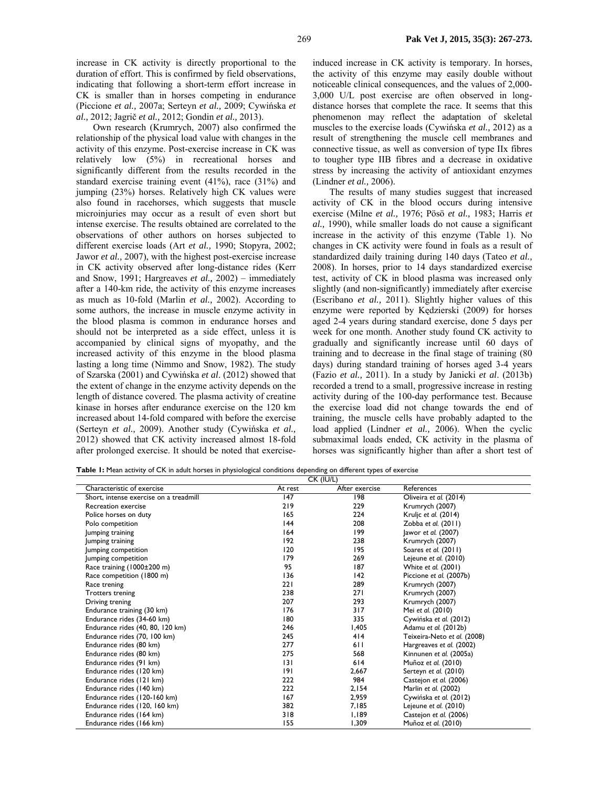increase in CK activity is directly proportional to the duration of effort. This is confirmed by field observations, indicating that following a short-term effort increase in CK is smaller than in horses competing in endurance (Piccione *et al.,* 2007a; Serteyn *et al.,* 2009; Cywińska *et al.,* 2012; Jagrič *et al.,* 2012; Gondin *et al.,* 2013).

Own research (Krumrych, 2007) also confirmed the relationship of the physical load value with changes in the activity of this enzyme. Post-exercise increase in CK was relatively low (5%) in recreational horses and significantly different from the results recorded in the standard exercise training event (41%), race (31%) and jumping (23%) horses. Relatively high CK values were also found in racehorses, which suggests that muscle microinjuries may occur as a result of even short but intense exercise. The results obtained are correlated to the observations of other authors on horses subjected to different exercise loads (Art *et al.,* 1990; Stopyra, 2002; Jawor *et al.,* 2007), with the highest post-exercise increase in CK activity observed after long-distance rides (Kerr and Snow, 1991; Hargreaves *et al.,* 2002) – immediately after a 140-km ride, the activity of this enzyme increases as much as 10-fold (Marlin *et al.,* 2002). According to some authors, the increase in muscle enzyme activity in the blood plasma is common in endurance horses and should not be interpreted as a side effect, unless it is accompanied by clinical signs of myopathy, and the increased activity of this enzyme in the blood plasma lasting a long time (Nimmo and Snow, 1982). The study of Szarska (2001) and Cywińska *et al*. (2012) showed that the extent of change in the enzyme activity depends on the length of distance covered. The plasma activity of creatine kinase in horses after endurance exercise on the 120 km increased about 14-fold compared with before the exercise (Serteyn *et al.,* 2009). Another study (Cywińska *et al.,*  2012) showed that CK activity increased almost 18-fold after prolonged exercise. It should be noted that exerciseinduced increase in CK activity is temporary. In horses, the activity of this enzyme may easily double without noticeable clinical consequences, and the values of 2,000- 3,000 U/L post exercise are often observed in longdistance horses that complete the race. It seems that this phenomenon may reflect the adaptation of skeletal muscles to the exercise loads (Cywińska *et al.,* 2012) as a result of strengthening the muscle cell membranes and connective tissue, as well as conversion of type IIx fibres to tougher type IIB fibres and a decrease in oxidative stress by increasing the activity of antioxidant enzymes (Lindner *et al.,* 2006).

The results of many studies suggest that increased activity of CK in the blood occurs during intensive exercise (Milne *et al.,* 1976; Pösö *et al.,* 1983; Harris *et al.,* 1990), while smaller loads do not cause a significant increase in the activity of this enzyme (Table 1). No changes in CK activity were found in foals as a result of standardized daily training during 140 days (Tateo *et al.,*  2008). In horses, prior to 14 days standardized exercise test, activity of CK in blood plasma was increased only slightly (and non-significantly) immediately after exercise (Escribano *et al.,* 2011). Slightly higher values of this enzyme were reported by Kędzierski (2009) for horses aged 2-4 years during standard exercise, done 5 days per week for one month. Another study found CK activity to gradually and significantly increase until 60 days of training and to decrease in the final stage of training (80 days) during standard training of horses aged 3-4 years (Fazio *et al.,* 2011). In a study by Janicki *et al*. (2013b) recorded a trend to a small, progressive increase in resting activity during of the 100-day performance test. Because the exercise load did not change towards the end of training, the muscle cells have probably adapted to the load applied (Lindner *et al.,* 2006). When the cyclic submaximal loads ended, CK activity in the plasma of horses was significantly higher than after a short test of

**Table 1:** Mean activity of CK in adult horses in physiological conditions depending on different types of exercise

| CK (IU/L)                              |         |                |                             |  |
|----------------------------------------|---------|----------------|-----------------------------|--|
| Characteristic of exercise             | At rest | After exercise | References                  |  |
| Short, intense exercise on a treadmill | 147     | 198            | Oliveira et al. (2014)      |  |
| Recreation exercise                    | 219     | 229            | Krumrych (2007)             |  |
| Police horses on duty                  | 165     | 224            | Kruljc et al. (2014)        |  |
| Polo competition                       | 44      | 208            | Zobba et al. (2011)         |  |
| Jumping training                       | 164     | 199            | Jawor et al. (2007)         |  |
| Jumping training                       | 192     | 238            | Krumrych (2007)             |  |
| Jumping competition                    | 120     | 195            | Soares et al. (2011)        |  |
| Jumping competition                    | 179     | 269            | Lejeune et al. (2010)       |  |
| Race training (1000±200 m)             | 95      | 187            | White et al. (2001)         |  |
| Race competition (1800 m)              | 136     | $ 42\rangle$   | Piccione et al. (2007b)     |  |
| Race trening                           | 221     | 289            | Krumrych (2007)             |  |
| <b>Trotters trening</b>                | 238     | 271            | Krumrych (2007)             |  |
| Driving trening                        | 207     | 293            | Krumrych (2007)             |  |
| Endurance training (30 km)             | 176     | 317            | Mei et al. (2010)           |  |
| Endurance rides (34-60 km)             | 180     | 335            | Cywińska et al. (2012)      |  |
| Endurance rides (40, 80, 120 km)       | 246     | 1,405          | Adamu et al. (2012b)        |  |
| Endurance rides (70, 100 km)           | 245     | 414            | Teixeira-Neto et al. (2008) |  |
| Endurance rides (80 km)                | 277     | 611            | Hargreaves et al. (2002)    |  |
| Endurance rides (80 km)                | 275     | 568            | Kinnunen et al. (2005a)     |  |
| Endurance rides (91 km)                | 131     | 614            | Muñoz et al. (2010)         |  |
| Endurance rides (120 km)               | 9       | 2,667          | Serteyn et al. (2010)       |  |
| Endurance rides (121 km)               | 222     | 984            | Castejon et al. (2006)      |  |
| Endurance rides (140 km)               | 222     | 2,154          | Marlin et al. (2002)        |  |
| Endurance rides (120-160 km)           | 167     | 2,959          | Cywińska et al. (2012)      |  |
| Endurance rides (120, 160 km)          | 382     | 7,185          | Lejeune et al. (2010)       |  |
| Endurance rides (164 km)               | 318     | 1,189          | Castejon et al. (2006)      |  |
| Endurance rides (166 km)               | 155     | 1,309          | Muñoz et al. (2010)         |  |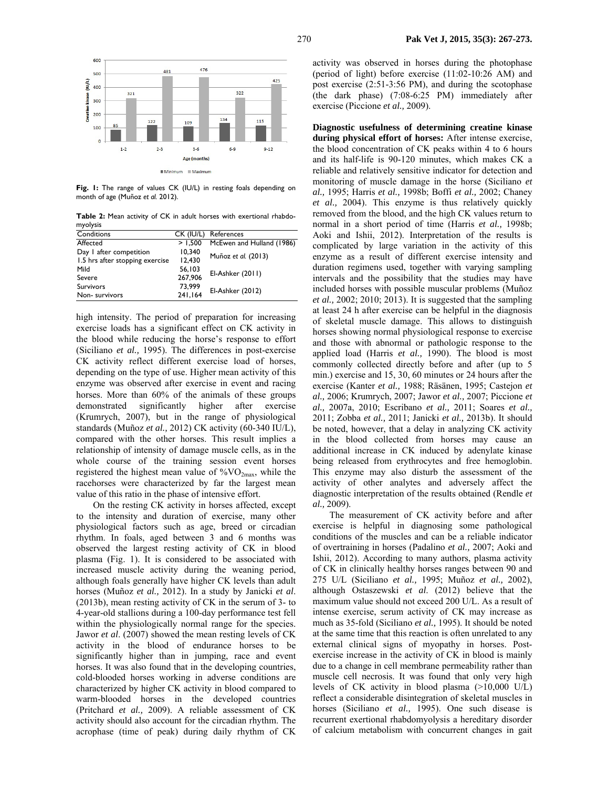

Fig. 1: The range of values CK (IU/L) in resting foals depending on month of age (Muñoz *et al.* 2012).

**Table 2:** Mean activity of CK in adult horses with exertional rhabdomyolysis

| Conditions                      | CK (IU/L) | References                |  |
|---------------------------------|-----------|---------------------------|--|
| Affected                        | > 1,500   | McEwen and Hulland (1986) |  |
| Day I after competition         | 10,340    | Muñoz et al. (2013)       |  |
| 1.5 hrs after stopping exercise | 12,430    |                           |  |
| Mild                            | 56,103    | El-Ashker (2011)          |  |
| Severe                          | 267,906   |                           |  |
| <b>Survivors</b>                | 73,999    | El-Ashker (2012)          |  |
| Non-survivors                   | 241,164   |                           |  |

high intensity. The period of preparation for increasing exercise loads has a significant effect on CK activity in the blood while reducing the horse's response to effort (Siciliano *et al.,* 1995). The differences in post-exercise CK activity reflect different exercise load of horses, depending on the type of use. Higher mean activity of this enzyme was observed after exercise in event and racing horses. More than 60% of the animals of these groups demonstrated significantly higher after exercise (Krumrych, 2007), but in the range of physiological standards (Muñoz *et al.,* 2012) CK activity (60-340 IU/L), compared with the other horses. This result implies a relationship of intensity of damage muscle cells, as in the whole course of the training session event horses registered the highest mean value of  $\%VO_{2max}$ , while the racehorses were characterized by far the largest mean value of this ratio in the phase of intensive effort.

On the resting CK activity in horses affected, except to the intensity and duration of exercise, many other physiological factors such as age, breed or circadian rhythm. In foals, aged between 3 and 6 months was observed the largest resting activity of CK in blood plasma (Fig. 1). It is considered to be associated with increased muscle activity during the weaning period, although foals generally have higher CK levels than adult horses (Muñoz *et al.,* 2012). In a study by Janicki *et al*. (2013b), mean resting activity of CK in the serum of 3- to 4-year-old stallions during a 100-day performance test fell within the physiologically normal range for the species. Jawor *et al*. (2007) showed the mean resting levels of CK activity in the blood of endurance horses to be significantly higher than in jumping, race and event horses. It was also found that in the developing countries, cold-blooded horses working in adverse conditions are characterized by higher CK activity in blood compared to warm-blooded horses in the developed countries (Pritchard *et al.,* 2009). A reliable assessment of CK activity should also account for the circadian rhythm. The acrophase (time of peak) during daily rhythm of CK

activity was observed in horses during the photophase (period of light) before exercise (11:02-10:26 AM) and post exercise (2:51-3:56 PM), and during the scotophase (the dark phase) (7:08-6:25 PM) immediately after exercise (Piccione *et al.,* 2009).

**Diagnostic usefulness of determining creatine kinase during physical effort of horses:** After intense exercise, the blood concentration of CK peaks within 4 to 6 hours and its half-life is 90-120 minutes, which makes CK a reliable and relatively sensitive indicator for detection and monitoring of muscle damage in the horse (Siciliano *et al.,* 1995; Harris *et al.,* 1998b; Boffi *et al.,* 2002; Chaney *et al.,* 2004). This enzyme is thus relatively quickly removed from the blood, and the high CK values return to normal in a short period of time (Harris *et al.,* 1998b; Aoki and Ishii, 2012). Interpretation of the results is complicated by large variation in the activity of this enzyme as a result of different exercise intensity and duration regimens used, together with varying sampling intervals and the possibility that the studies may have included horses with possible muscular problems (Muñoz *et al.,* 2002; 2010; 2013). It is suggested that the sampling at least 24 h after exercise can be helpful in the diagnosis of skeletal muscle damage. This allows to distinguish horses showing normal physiological response to exercise and those with abnormal or pathologic response to the applied load (Harris *et al.,* 1990). The blood is most commonly collected directly before and after (up to 5 min.) exercise and 15, 30, 60 minutes or 24 hours after the exercise (Kanter *et al.,* 1988; Räsänen, 1995; Castejon *et al.,* 2006; Krumrych, 2007; Jawor *et al.,* 2007; Piccione *et al.,* 2007a, 2010; Escribano *et al.,* 2011; Soares *et al.,*  2011; Zobba *et al.,* 2011; Janicki *et al.,* 2013b). It should be noted, however, that a delay in analyzing CK activity in the blood collected from horses may cause an additional increase in CK induced by adenylate kinase being released from erythrocytes and free hemoglobin. This enzyme may also disturb the assessment of the activity of other analytes and adversely affect the diagnostic interpretation of the results obtained (Rendle *et al.,* 2009).

The measurement of CK activity before and after exercise is helpful in diagnosing some pathological conditions of the muscles and can be a reliable indicator of overtraining in horses (Padalino *et al.,* 2007; Aoki and Ishii, 2012). According to many authors, plasma activity of CK in clinically healthy horses ranges between 90 and 275 U/L (Siciliano *et al.,* 1995; Muñoz *et al.,* 2002), although Ostaszewski *et al*. (2012) believe that the maximum value should not exceed 200 U/L. As a result of intense exercise, serum activity of CK may increase as much as 35-fold (Siciliano *et al.,* 1995). It should be noted at the same time that this reaction is often unrelated to any external clinical signs of myopathy in horses. Postexercise increase in the activity of CK in blood is mainly due to a change in cell membrane permeability rather than muscle cell necrosis. It was found that only very high levels of CK activity in blood plasma (>10,000 U/L) reflect a considerable disintegration of skeletal muscles in horses (Siciliano *et al.,* 1995). One such disease is recurrent exertional rhabdomyolysis a hereditary disorder of calcium metabolism with concurrent changes in gait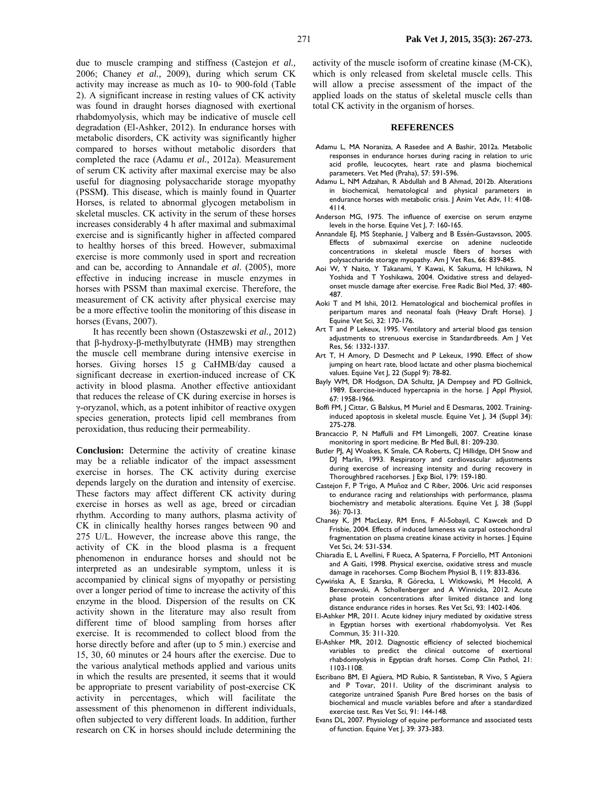due to muscle cramping and stiffness (Castejon *et al.,*  2006; Chaney *et al.,* 2009), during which serum CK activity may increase as much as 10- to 900-fold (Table 2). A significant increase in resting values of CK activity was found in draught horses diagnosed with exertional rhabdomyolysis, which may be indicative of muscle cell degradation (El-Ashker, 2012). In endurance horses with metabolic disorders, CK activity was significantly higher compared to horses without metabolic disorders that completed the race (Adamu *et al.,* 2012a). Measurement of serum CK activity after maximal exercise may be also useful for diagnosing polysaccharide storage myopathy (PSSM**)**. This disease, which is mainly found in Quarter Horses, is related to abnormal glycogen metabolism in skeletal muscles. CK activity in the serum of these horses increases considerably 4 h after maximal and submaximal exercise and is significantly higher in affected compared to healthy horses of this breed. However, submaximal exercise is more commonly used in sport and recreation and can be, according to Annandale *et al*. (2005), more effective in inducing increase in muscle enzymes in horses with PSSM than maximal exercise. Therefore, the measurement of CK activity after physical exercise may be a more effective toolin the monitoring of this disease in horses (Evans, 2007).

It has recently been shown (Ostaszewski *et al.,* 2012) that β-hydroxy-β-methylbutyrate (HMB) may strengthen the muscle cell membrane during intensive exercise in horses. Giving horses 15 g CaHMB/day caused a significant decrease in exertion-induced increase of CK activity in blood plasma. Another effective antioxidant that reduces the release of CK during exercise in horses is γ-oryzanol, which, as a potent inhibitor of reactive oxygen species generation, protects lipid cell membranes from peroxidation, thus reducing their permeability.

**Conclusion:** Determine the activity of creatine kinase may be a reliable indicator of the impact assessment exercise in horses. The CK activity during exercise depends largely on the duration and intensity of exercise. These factors may affect different CK activity during exercise in horses as well as age, breed or circadian rhythm. According to many authors, plasma activity of CK in clinically healthy horses ranges between 90 and 275 U/L. However, the increase above this range, the activity of CK in the blood plasma is a frequent phenomenon in endurance horses and should not be interpreted as an undesirable symptom, unless it is accompanied by clinical signs of myopathy or persisting over a longer period of time to increase the activity of this enzyme in the blood. Dispersion of the results on CK activity shown in the literature may also result from different time of blood sampling from horses after exercise. It is recommended to collect blood from the horse directly before and after (up to 5 min.) exercise and 15, 30, 60 minutes or 24 hours after the exercise. Due to the various analytical methods applied and various units in which the results are presented, it seems that it would be appropriate to present variability of post-exercise CK activity in percentages, which will facilitate the assessment of this phenomenon in different individuals, often subjected to very different loads. In addition, further research on CK in horses should include determining the activity of the muscle isoform of creatine kinase (M-CK), which is only released from skeletal muscle cells. This will allow a precise assessment of the impact of the applied loads on the status of skeletal muscle cells than total CK activity in the organism of horses.

### **REFERENCES**

- Adamu L, MA Noraniza, A Rasedee and A Bashir, 2012a. Metabolic responses in endurance horses during racing in relation to uric acid profile, leucocytes, heart rate and plasma biochemical parameters. Vet Med (Praha), 57: 591-596.
- Adamu L, NM Adzahan, R Abdullah and B Ahmad, 2012b. Alterations in biochemical, hematological and physical parameters in endurance horses with metabolic crisis. | Anim Vet Adv, II: 4108-4114.
- Anderson MG, 1975. The influence of exercise on serum enzyme levels in the horse. Equine Vet J, 7: 160-165.
- Annandale EJ, MS Stephanie, J Valberg and B Essén-Gustavsson, 2005. Effects of submaximal exercise on adenine nucleotide concentrations in skeletal muscle fibers of horses with polysaccharide storage myopathy. Am J Vet Res, 66: 839-845.
- Aoi W, Y Naito, Y Takanami, Y Kawai, K Sakuma, H Ichikawa, N Yoshida and T Yoshikawa, 2004. Oxidative stress and delayedonset muscle damage after exercise. Free Radic Biol Med, 37: 480- 487.
- Aoki T and M Ishii, 2012. Hematological and biochemical profiles in peripartum mares and neonatal foals (Heavy Draft Horse). J Equine Vet Sci, 32: 170-176.
- Art T and P Lekeux, 1995. Ventilatory and arterial blood gas tension adjustments to strenuous exercise in Standardbreeds. Am J Vet Res, 56: 1332-1337.
- Art T, H Amory, D Desmecht and P Lekeux, 1990. Effect of show jumping on heart rate, blood lactate and other plasma biochemical values. Equine Vet J, 22 (Suppl 9): 78-82.
- Bayly WM, DR Hodgson, DA Schultz, JA Dempsey and PD Gollnick, 1989. Exercise-induced hypercapnia in the horse. J Appl Physiol, 67: 1958-1966.
- Boffi FM, J Cittar, G Balskus, M Muriel and E Desmaras, 2002. Traininginduced apoptosis in skeletal muscle. Equine Vet J, 34 (Suppl 34): 275-278.
- Brancaccio P, N Maffulli and FM Limongelli, 2007. Creatine kinase monitoring in sport medicine. Br Med Bull, 81: 209-230.
- Butler PJ, AJ Woakes, K Smale, CA Roberts, CJ Hillidge, DH Snow and DJ Marlin, 1993. Respiratory and cardiovascular adjustments during exercise of increasing intensity and during recovery in Thoroughbred racehorses. J Exp Biol, 179: 159-180.
- Castejon F, P Trigo, A Muñoz and C Riber, 2006. Uric acid responses to endurance racing and relationships with performance, plasma biochemistry and metabolic alterations. Equine Vet J, 38 (Suppl 36): 70-13.
- Chaney K, JM MacLeay, RM Enns, F Al-Sobayil, C Kawcek and D Frisbie, 2004. Effects of induced lameness via carpal osteochondral fragmentation on plasma creatine kinase activity in horses. J Equine Vet Sci, 24: 531-534.
- Chiaradia E, L Avellini, F Rueca, A Spaterna, F Porciello, MT Antonioni and A Gaiti, 1998. Physical exercise, oxidative stress and muscle damage in racehorses. Comp Biochem Physiol B, 119: 833-836.
- Cywińska A, E Szarska, R Górecka, L Witkowski, M Hecold, A Bereznowski, A Schollenberger and A Winnicka, 2012. Acute phase protein concentrations after limited distance and long distance endurance rides in horses. Res Vet Sci, 93: 1402-1406.
- El-Ashker MR, 2011. Acute kidney injury mediated by oxidative stress in Egyptian horses with exertional rhabdomyolysis. Vet Res Commun, 35: 311-320.
- El-Ashker MR, 2012. Diagnostic efficiency of selected biochemical variables to predict the clinical outcome of exertional rhabdomyolysis in Egyptian draft horses. Comp Clin Pathol, 21: 1103-1108.
- Escribano BM, EI Agüera, MD Rubio, R Santisteban, R Vivo, S Agüera and P Tovar, 2011. Utility of the discriminant analysis to categorize untrained Spanish Pure Bred horses on the basis of biochemical and muscle variables before and after a standardized exercise test. Res Vet Sci, 91: 144-148.
- Evans DL, 2007. Physiology of equine performance and associated tests of function. Equine Vet J, 39: 373-383.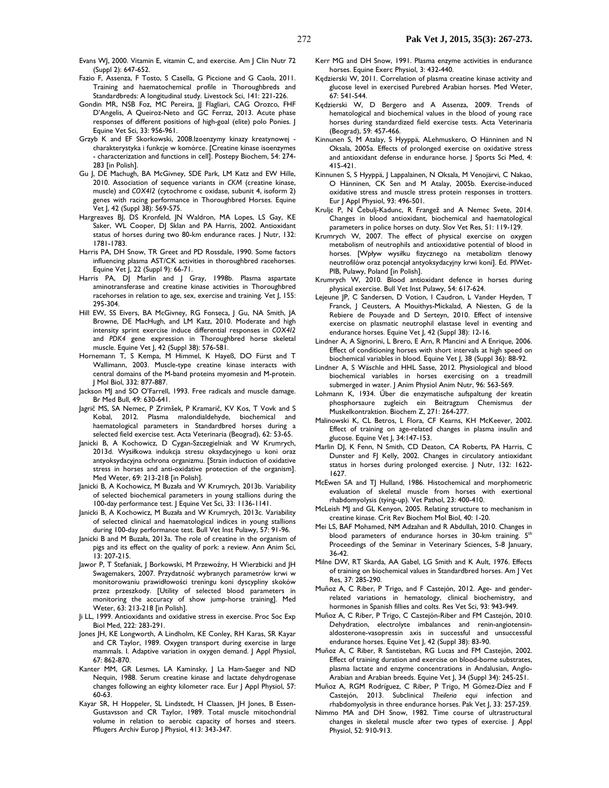Evans WJ, 2000. Vitamin E, vitamin C, and exercise. Am J Clin Nutr 72 (Suppl 2): 647-652.

- Fazio F, Assenza, F Tosto, S Casella, G Piccione and G Caola, 2011. Training and haematochemical profile in Thoroughbreds and Standardbreds: A longitudinal study. Livestock Sci, 141: 221-226.
- Gondin MR, NSB Foz, MC Pereira, JJ Flagliari, CAG Orozco, FHF D'Angelis, A Queiroz-Neto and GC Ferraz, 2013. Acute phase responses of different positions of high-goal (elite) polo Ponies. J Equine Vet Sci, 33: 956-961.
- Grzyb K and EF Skorkowski, 2008.Izoenzymy kinazy kreatynowej charakterystyka i funkcje w komórce. [Creatine kinase isoenzymes - characterization and functions in cell]. Postepy Biochem, 54: 274- 283 [in Polish].
- Gu J, DE Machugh, BA McGivney, SDE Park, LM Katz and EW Hille, 2010. Association of sequence variants in *CKM* (creatine kinase, muscle) and *COX4I2* (cytochrome c oxidase, subunit 4, isoform 2) genes with racing performance in Thoroughbred Horses. Equine Vet J, 42 (Suppl 38): 569-575.
- Hargreaves BJ, DS Kronfeld, JN Waldron, MA Lopes, LS Gay, KE Saker, WL Cooper, DJ Sklan and PA Harris, 2002. Antioxidant status of horses during two 80-km endurance races. | Nutr, 132: 1781-1783.
- Harris PA, DH Snow, TR Greet and PD Rossdale, 1990. Some factors influencing plasma AST/CK activities in thoroughbred racehorses. Equine Vet J, 22 (Suppl 9): 66-71.
- Harris PA, DJ Marlin and J Gray, 1998b. Plasma aspartate aminotransferase and creatine kinase activities in Thoroughbred racehorses in relation to age, sex, exercise and training. Vet J, 155: 295-304.
- Hill EW, SS Eivers, BA McGivney, RG Fonseca, J Gu, NA Smith, JA Browne, DE MacHugh, and LM Katz, 2010. Moderate and high intensity sprint exercise induce differential responses in *COX4I2*  and *PDK4* gene expression in Thoroughbred horse skeletal muscle. Equine Vet J, 42 (Suppl 38): 576-581.
- Hornemann T, S Kempa, M Himmel, K Hayeß, DO Fürst and T Wallimann, 2003. Muscle-type creatine kinase interacts with central domains of the M-band proteins myomesin and M-protein. J Mol Biol, 332: 877-887.
- Jackson MJ and SO O'Farrell, 1993. Free radicals and muscle damage. Br Med Bull, 49: 630-641.
- Jagrič MS, SA Nemec, P Zrimšek, P Kramarič, KV Kos, T Vovk and S Kobal, 2012. Plasma malondialdehyde, biochemical and haematological parameters in Standardbred horses during a selected field exercise test. Acta Veterinaria (Beograd), 62: 53-65.
- Janicki B, A Kochowicz, D Cygan-Szczegielniak and W Krumrych, 2013d. Wysiłkowa indukcja stresu oksydacyjnego u koni oraz antyoksydacyjna ochrona organizmu. [Strain induction of oxidative stress in horses and anti-oxidative protection of the organism]. Med Weter, 69: 213-218 [in Polish].
- Janicki B, A Kochowicz, M Buzała and W Krumrych, 2013b. Variability of selected biochemical parameters in young stallions during the 100-day performance test. J Equine Vet Sci, 33: 1136-1141.
- Janicki B, A Kochowicz, M Buzała and W Krumrych, 2013c. Variability of selected clinical and haematological indices in young stallions during 100-day performance test. Bull Vet Inst Pulawy, 57: 91-96.
- Janicki B and M Buzała, 2013a. The role of creatine in the organism of pigs and its effect on the quality of pork: a review. Ann Anim Sci, 13: 207-215.
- Jawor P, T Stefaniak, J Borkowski, M Przewoźny, H Wierzbicki and JH Swagemakers, 2007. Przydatność wybranych parametrów krwi w monitorowaniu prawidłowości treningu koni dyscypliny skoków przez przeszkody. [Utility of selected blood parameters in monitoring the accuracy of show jump-horse training]. Med Weter, 63: 213-218 [in Polish].
- Ji LL, 1999. Antioxidants and oxidative stress in exercise. Proc Soc Exp Biol Med, 222: 283-291.
- Jones JH, KE Longworth, A Lindholm, KE Conley, RH Karas, SR Kayar and CR Taylor, 1989. Oxygen transport during exercise in large mammals. I. Adaptive variation in oxygen demand. J Appl Physiol, 67: 862-870.
- Kanter MM, GR Lesmes, LA Kaminsky, J La Ham-Saeger and ND Nequin, 1988. Serum creatine kinase and lactate dehydrogenase changes following an eighty kilometer race. Eur J Appl Physiol, 57: 60-63.
- Kayar SR, H Hoppeler, SL Lindstedt, H Claassen, JH Jones, B Essen-Gustavsson and CR Taylor, 1989. Total muscle mitochondrial volume in relation to aerobic capacity of horses and steers. Pflugers Archiv Europ J Physiol, 413: 343-347.
- Kerr MG and DH Snow, 1991. Plasma enzyme activities in endurance horses. Equine Exerc Physiol, 3: 432-440.
- Kędzierski W, 2011. Correlation of plasma creatine kinase activity and glucose level in exercised Purebred Arabian horses. Med Weter, 67: 541-544.
- Kędzierski W, D Bergero and A Assenza, 2009. Trends of hematological and biochemical values in the blood of young race horses during standardized field exercise tests. Acta Veterinaria (Beograd), 59: 457-466.
- Kinnunen S, M Atalay, S Hyyppä, ALehmuskero, O Hänninen and N Oksala, 2005a. Effects of prolonged exercise on oxidative stress and antioxidant defense in endurance horse. J Sports Sci Med, 4: 415-421.
- Kinnunen S, S Hyyppä, J Lappalainen, N Oksala, M Venojärvi, C Nakao, O Hänninen, CK Sen and M Atalay, 2005b. Exercise-induced oxidative stress and muscle stress protein responses in trotters. Eur J Appl Physiol, 93: 496-501.
- Kruljc P, N Čebulj-Kadunc, R Frangež and A Nemec Svete, 2014. Changes in blood antioxidant, biochemical and haematological parameters in police horses on duty. Slov Vet Res, 51: 119-129.
- Krumrych W, 2007. The effect of physical exercise on oxygen metabolism of neutrophils and antioxidative potential of blood in horses. [Wpływ wysiłku fizycznego na metabolizm tlenowy neutrofilów oraz potencjał antyoksydacyjny krwi koni]. Ed. PIWet-PIB, Pulawy, Poland [in Polish].
- Krumrych W, 2010. Blood antioxidant defence in horses during physical exercise. Bull Vet Inst Pulawy, 54: 617-624.
- Lejeune JP, C Sandersen, D Votion, I Caudron, L Vander Heyden, T Franck, J Ceusters, A Mouithys-Mickalad, A Niesten, G de la Rebiere de Pouyade and D Serteyn, 2010. Effect of intensive exercise on plasmatic neutrophil elastase level in eventing and endurance horses. Equine Vet J, 42 (Suppl 38): 12-16.
- Lindner A, A Signorini, L Brero, E Arn, R Mancini and A Enrique, 2006. Effect of conditioning horses with short intervals at high speed on biochemical variables in blood. Equine Vet J, 38 (Suppl 36): 88-92.
- Lindner A, S Wäschle and HHL Sasse, 2012. Physiological and blood biochemical variables in horses exercising on a treadmill submerged in water. J Anim Physiol Anim Nutr, 96: 563-569.
- Lohmann K, 1934. Űber die enzymatische aufspaltung der kreatin phosphorsaure zugleich ein Beitragzum Chemismus der Muskelkontraktion. Biochem Z, 271: 264-277.
- Malinowski K, CL Betros, L Flora, CF Kearns, KH McKeever, 2002. Effect of training on age-related changes in plasma insulin and glucose. Equine Vet J, 34:147-153.
- Marlin DJ, K Fenn, N Smith, CD Deaton, CA Roberts, PA Harris, C Dunster and FJ Kelly, 2002. Changes in circulatory antioxidant status in horses during prolonged exercise. J Nutr, 132: 1622- 1627.
- McEwen SA and TJ Hulland, 1986. Histochemical and morphometric evaluation of skeletal muscle from horses with exertional rhabdomyolysis (tying-up). Vet Pathol, 23: 400-410.
- McLeish MJ and GL Kenyon, 2005. Relating structure to mechanism in creatine kinase. Crit Rev Biochem Mol Biol, 40: 1-20.
- Mei LS, BAF Mohamed, NM Adzahan and R Abdullah, 2010. Changes in blood parameters of endurance horses in 30-km training. 5<sup>th</sup> Proceedings of the Seminar in Veterinary Sciences, 5-8 January, 36-42.
- Milne DW, RT Skarda, AA Gabel, LG Smith and K Ault, 1976. Effects of training on biochemical values in Standardbred horses. Am J Vet Res, 37: 285-290.
- Muñoz A, C Riber, P Trigo, and F Castejón, 2012. Age- and genderrelated variations in hematology, clinical biochemistry, and hormones in Spanish fillies and colts. Res Vet Sci, 93: 943-949.
- Muñoz A, C Riber, P Trigo, C Castejón-Riber and FM Castejón, 2010. Dehydration, electrolyte imbalances and renin-angiotensinaldosterone-vasopressin axis in successful and unsuccessful endurance horses. Equine Vet J, 42 (Suppl 38): 83-90.
- Muñoz A, C Riber, R Santisteban, RG Lucas and FM Castejón, 2002. Effect of training duration and exercise on blood-borne substrates, plasma lactate and enzyme concentrations in Andalusian, Anglo-Arabian and Arabian breeds. Equine Vet J, 34 (Suppl 34): 245-251.
- Muñoz A, RGM Rodríguez, C Riber, P Trigo, M Gómez-Díez and F Castejón, 2013. Subclinical *Theileria equi* infection and rhabdomyolysis in three endurance horses. Pak Vet J, 33: 257-259.
- Nimmo MA and DH Snow, 1982. Time course of ultrastructural changes in skeletal muscle after two types of exercise. J Appl Physiol, 52: 910-913.